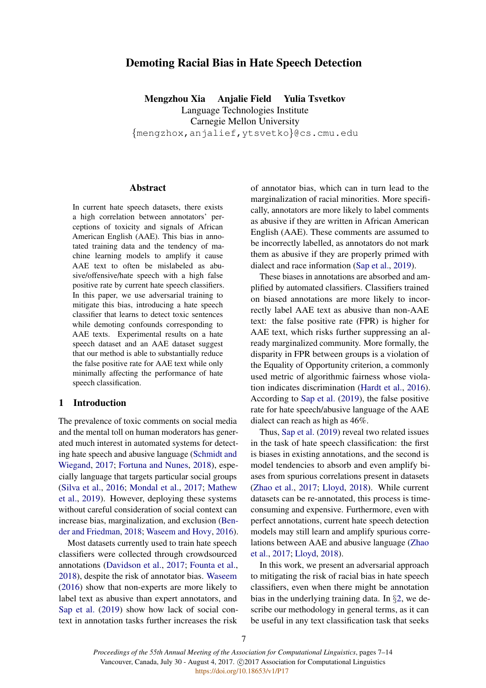# Demoting Racial Bias in Hate Speech Detection

Mengzhou Xia Anjalie Field Yulia Tsvetkov Language Technologies Institute Carnegie Mellon University {mengzhox,anjalief,ytsvetko}@cs.cmu.edu

# Abstract

In current hate speech datasets, there exists a high correlation between annotators' perceptions of toxicity and signals of African American English (AAE). This bias in annotated training data and the tendency of machine learning models to amplify it cause AAE text to often be mislabeled as abusive/offensive/hate speech with a high false positive rate by current hate speech classifiers. In this paper, we use adversarial training to mitigate this bias, introducing a hate speech classifier that learns to detect toxic sentences while demoting confounds corresponding to AAE texts. Experimental results on a hate speech dataset and an AAE dataset suggest that our method is able to substantially reduce the false positive rate for AAE text while only minimally affecting the performance of hate speech classification.

## 1 Introduction

The prevalence of toxic comments on social media and the mental toll on human moderators has generated much interest in automated systems for detecting hate speech and abusive language [\(Schmidt and](#page-6-0) [Wiegand,](#page-6-0) [2017;](#page-6-0) [Fortuna and Nunes,](#page-5-0) [2018\)](#page-5-0), especially language that targets particular social groups [\(Silva et al.,](#page-6-1) [2016;](#page-6-1) [Mondal et al.,](#page-6-2) [2017;](#page-6-2) [Mathew](#page-6-3) [et al.,](#page-6-3) [2019\)](#page-6-3). However, deploying these systems without careful consideration of social context can increase bias, marginalization, and exclusion [\(Ben](#page-5-1)[der and Friedman,](#page-5-1) [2018;](#page-5-1) [Waseem and Hovy,](#page-6-4) [2016\)](#page-6-4).

Most datasets currently used to train hate speech classifiers were collected through crowdsourced annotations [\(Davidson et al.,](#page-5-2) [2017;](#page-5-2) [Founta et al.,](#page-6-5) [2018\)](#page-6-5), despite the risk of annotator bias. [Waseem](#page-6-6) [\(2016\)](#page-6-6) show that non-experts are more likely to label text as abusive than expert annotators, and [Sap et al.](#page-6-7) [\(2019\)](#page-6-7) show how lack of social context in annotation tasks further increases the risk of annotator bias, which can in turn lead to the marginalization of racial minorities. More specifically, annotators are more likely to label comments as abusive if they are written in African American English (AAE). These comments are assumed to be incorrectly labelled, as annotators do not mark them as abusive if they are properly primed with dialect and race information [\(Sap et al.,](#page-6-7) [2019\)](#page-6-7).

These biases in annotations are absorbed and amplified by automated classifiers. Classifiers trained on biased annotations are more likely to incorrectly label AAE text as abusive than non-AAE text: the false positive rate (FPR) is higher for AAE text, which risks further suppressing an already marginalized community. More formally, the disparity in FPR between groups is a violation of the Equality of Opportunity criterion, a commonly used metric of algorithmic fairness whose violation indicates discrimination [\(Hardt et al.,](#page-6-8) [2016\)](#page-6-8). According to [Sap et al.](#page-6-7) [\(2019\)](#page-6-7), the false positive rate for hate speech/abusive language of the AAE dialect can reach as high as 46%.

Thus, [Sap et al.](#page-6-7) [\(2019\)](#page-6-7) reveal two related issues in the task of hate speech classification: the first is biases in existing annotations, and the second is model tendencies to absorb and even amplify biases from spurious correlations present in datasets [\(Zhao et al.,](#page-7-0) [2017;](#page-7-0) [Lloyd,](#page-6-9) [2018\)](#page-6-9). While current datasets can be re-annotated, this process is timeconsuming and expensive. Furthermore, even with perfect annotations, current hate speech detection models may still learn and amplify spurious correlations between AAE and abusive language [\(Zhao](#page-7-0) [et al.,](#page-7-0) [2017;](#page-7-0) [Lloyd,](#page-6-9) [2018\)](#page-6-9).

In this work, we present an adversarial approach to mitigating the risk of racial bias in hate speech classifiers, even when there might be annotation bias in the underlying training data. In §[2,](#page-1-0) we describe our methodology in general terms, as it can be useful in any text classification task that seeks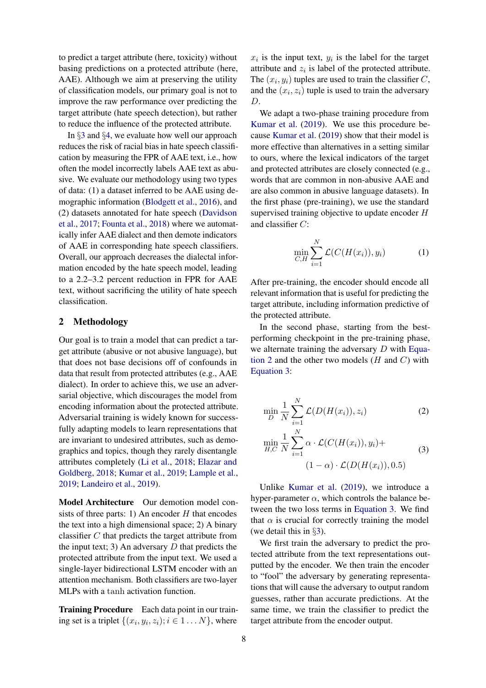to predict a target attribute (here, toxicity) without basing predictions on a protected attribute (here, AAE). Although we aim at preserving the utility of classification models, our primary goal is not to improve the raw performance over predicting the target attribute (hate speech detection), but rather to reduce the influence of the protected attribute.

In §[3](#page-2-0) and §[4,](#page-3-0) we evaluate how well our approach reduces the risk of racial bias in hate speech classification by measuring the FPR of AAE text, i.e., how often the model incorrectly labels AAE text as abusive. We evaluate our methodology using two types of data: (1) a dataset inferred to be AAE using demographic information [\(Blodgett et al.,](#page-5-3) [2016\)](#page-5-3), and (2) datasets annotated for hate speech [\(Davidson](#page-5-2) [et al.,](#page-5-2) [2017;](#page-5-2) [Founta et al.,](#page-6-5) [2018\)](#page-6-5) where we automatically infer AAE dialect and then demote indicators of AAE in corresponding hate speech classifiers. Overall, our approach decreases the dialectal information encoded by the hate speech model, leading to a 2.2–3.2 percent reduction in FPR for AAE text, without sacrificing the utility of hate speech classification.

## <span id="page-1-0"></span>2 Methodology

Our goal is to train a model that can predict a target attribute (abusive or not abusive language), but that does not base decisions off of confounds in data that result from protected attributes (e.g., AAE dialect). In order to achieve this, we use an adversarial objective, which discourages the model from encoding information about the protected attribute. Adversarial training is widely known for successfully adapting models to learn representations that are invariant to undesired attributes, such as demographics and topics, though they rarely disentangle attributes completely [\(Li et al.,](#page-6-10) [2018;](#page-6-10) [Elazar and](#page-5-4) [Goldberg,](#page-5-4) [2018;](#page-5-4) [Kumar et al.,](#page-6-11) [2019;](#page-6-11) [Lample et al.,](#page-6-12) [2019;](#page-6-12) [Landeiro et al.,](#page-6-13) [2019\)](#page-6-13).

Model Architecture Our demotion model consists of three parts: 1) An encoder  $H$  that encodes the text into a high dimensional space; 2) A binary classifier C that predicts the target attribute from the input text; 3) An adversary  $D$  that predicts the protected attribute from the input text. We used a single-layer bidirectional LSTM encoder with an attention mechanism. Both classifiers are two-layer MLPs with a tanh activation function.

Training Procedure Each data point in our training set is a triplet  $\{(x_i, y_i, z_i); i \in 1 \dots N\}$ , where

 $x_i$  is the input text,  $y_i$  is the label for the target attribute and  $z_i$  is label of the protected attribute. The  $(x_i, y_i)$  tuples are used to train the classifier C, and the  $(x_i, z_i)$  tuple is used to train the adversary D.

We adapt a two-phase training procedure from [Kumar et al.](#page-6-11) [\(2019\)](#page-6-11). We use this procedure because [Kumar et al.](#page-6-11) [\(2019\)](#page-6-11) show that their model is more effective than alternatives in a setting similar to ours, where the lexical indicators of the target and protected attributes are closely connected (e.g., words that are common in non-abusive AAE and are also common in abusive language datasets). In the first phase (pre-training), we use the standard supervised training objective to update encoder H and classifier C:

$$
\min_{C,H} \sum_{i=1}^{N} \mathcal{L}(C(H(x_i)), y_i)
$$
 (1)

After pre-training, the encoder should encode all relevant information that is useful for predicting the target attribute, including information predictive of the protected attribute.

In the second phase, starting from the bestperforming checkpoint in the pre-training phase, we alternate training the adversary D with [Equa](#page-1-1)[tion 2](#page-1-1) and the other two models  $(H \text{ and } C)$  with [Equation 3:](#page-1-2)

<span id="page-1-1"></span>
$$
\min_{D} \frac{1}{N} \sum_{i=1}^{N} \mathcal{L}(D(H(x_i)), z_i)
$$
\n<sup>(2)</sup>

<span id="page-1-2"></span>
$$
\min_{H,C} \frac{1}{N} \sum_{i=1}^{N} \alpha \cdot \mathcal{L}(C(H(x_i)), y_i) +
$$
\n
$$
(1 - \alpha) \cdot \mathcal{L}(D(H(x_i)), 0.5)
$$
\n(3)

Unlike [Kumar et al.](#page-6-11) [\(2019\)](#page-6-11), we introduce a hyper-parameter  $\alpha$ , which controls the balance between the two loss terms in [Equation 3.](#page-1-2) We find that  $\alpha$  is crucial for correctly training the model (we detail this in §[3\)](#page-2-0).

We first train the adversary to predict the protected attribute from the text representations outputted by the encoder. We then train the encoder to "fool" the adversary by generating representations that will cause the adversary to output random guesses, rather than accurate predictions. At the same time, we train the classifier to predict the target attribute from the encoder output.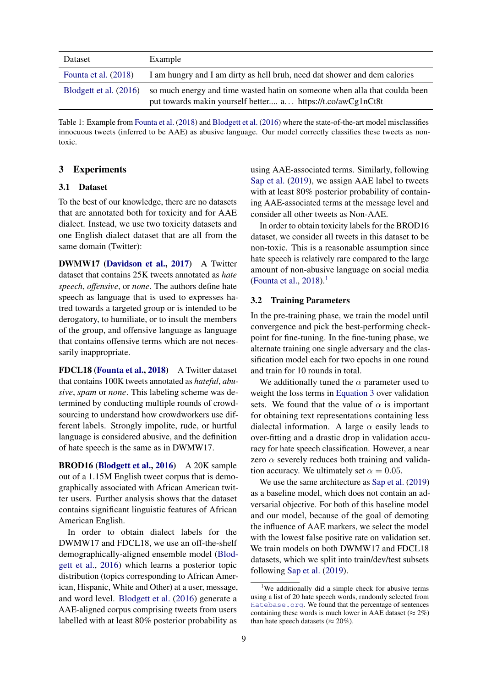<span id="page-2-2"></span>

| Dataset                  | Example                                                                                                                                       |
|--------------------------|-----------------------------------------------------------------------------------------------------------------------------------------------|
| Founta et al. $(2018)$   | I am hungry and I am dirty as hell bruh, need dat shower and dem calories                                                                     |
| Blodgett et al. $(2016)$ | so much energy and time wasted hat in on some one when all a that could a been<br>put towards makin yourself better a https://t.co/awCg1nCt8t |

Table 1: Example from [Founta et al.](#page-6-5) [\(2018\)](#page-6-5) and [Blodgett et al.](#page-5-3) [\(2016\)](#page-5-3) where the state-of-the-art model misclassifies innocuous tweets (inferred to be AAE) as abusive language. Our model correctly classifies these tweets as nontoxic.

# <span id="page-2-0"></span>3 Experiments

## 3.1 Dataset

To the best of our knowledge, there are no datasets that are annotated both for toxicity and for AAE dialect. Instead, we use two toxicity datasets and one English dialect dataset that are all from the same domain (Twitter):

DWMW17 [\(Davidson et al.,](#page-5-2) [2017\)](#page-5-2) A Twitter dataset that contains 25K tweets annotated as *hate speech*, *offensive*, or *none*. The authors define hate speech as language that is used to expresses hatred towards a targeted group or is intended to be derogatory, to humiliate, or to insult the members of the group, and offensive language as language that contains offensive terms which are not necessarily inappropriate.

FDCL18 [\(Founta et al.,](#page-6-5) [2018\)](#page-6-5) A Twitter dataset that contains 100K tweets annotated as *hateful*, *abusive*, *spam* or *none*. This labeling scheme was determined by conducting multiple rounds of crowdsourcing to understand how crowdworkers use different labels. Strongly impolite, rude, or hurtful language is considered abusive, and the definition of hate speech is the same as in DWMW17.

BROD16 [\(Blodgett et al.,](#page-5-3) [2016\)](#page-5-3) A 20K sample out of a 1.15M English tweet corpus that is demographically associated with African American twitter users. Further analysis shows that the dataset contains significant linguistic features of African American English.

In order to obtain dialect labels for the DWMW17 and FDCL18, we use an off-the-shelf demographically-aligned ensemble model [\(Blod](#page-5-3)[gett et al.,](#page-5-3) [2016\)](#page-5-3) which learns a posterior topic distribution (topics corresponding to African American, Hispanic, White and Other) at a user, message, and word level. [Blodgett et al.](#page-5-3) [\(2016\)](#page-5-3) generate a AAE-aligned corpus comprising tweets from users labelled with at least 80% posterior probability as

using AAE-associated terms. Similarly, following [Sap et al.](#page-6-7) [\(2019\)](#page-6-7), we assign AAE label to tweets with at least 80% posterior probability of containing AAE-associated terms at the message level and consider all other tweets as Non-AAE.

In order to obtain toxicity labels for the BROD16 dataset, we consider all tweets in this dataset to be non-toxic. This is a reasonable assumption since hate speech is relatively rare compared to the large amount of non-abusive language on social media [\(Founta et al.,](#page-6-5)  $2018$  $2018$  $2018$ ).<sup>1</sup>

### 3.2 Training Parameters

In the pre-training phase, we train the model until convergence and pick the best-performing checkpoint for fine-tuning. In the fine-tuning phase, we alternate training one single adversary and the classification model each for two epochs in one round and train for 10 rounds in total.

We additionally tuned the  $\alpha$  parameter used to weight the loss terms in [Equation 3](#page-1-2) over validation sets. We found that the value of  $\alpha$  is important for obtaining text representations containing less dialectal information. A large  $\alpha$  easily leads to over-fitting and a drastic drop in validation accuracy for hate speech classification. However, a near zero  $\alpha$  severely reduces both training and validation accuracy. We ultimately set  $\alpha = 0.05$ .

We use the same architecture as [Sap et al.](#page-6-7) [\(2019\)](#page-6-7) as a baseline model, which does not contain an adversarial objective. For both of this baseline model and our model, because of the goal of demoting the influence of AAE markers, we select the model with the lowest false positive rate on validation set. We train models on both DWMW17 and FDCL18 datasets, which we split into train/dev/test subsets following [Sap et al.](#page-6-7) [\(2019\)](#page-6-7).

<span id="page-2-1"></span><sup>&</sup>lt;sup>1</sup>We additionally did a simple check for abusive terms using a list of 20 hate speech words, randomly selected from <Hatebase.org>. We found that the percentage of sentences containing these words is much lower in AAE dataset ( $\approx 2\%$ ) than hate speech datasets ( $\approx 20\%$ ).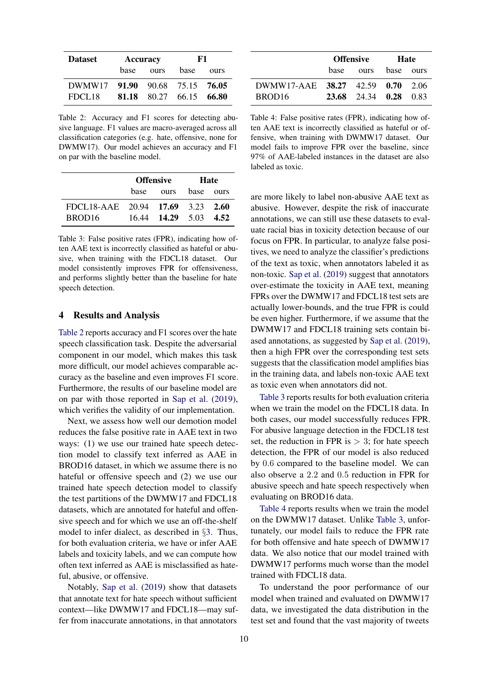<span id="page-3-1"></span>

| <b>Dataset</b>                 | Accuracy |                         | F1   |      |
|--------------------------------|----------|-------------------------|------|------|
|                                | base     | ours                    | hase | ours |
| DWMW17 91.90 90.68 75.15 76.05 |          |                         |      |      |
| FDCL18                         |          | 81.18 80.27 66.15 66.80 |      |      |

Table 2: Accuracy and F1 scores for detecting abusive language. F1 values are macro-averaged across all classification categories (e.g. hate, offensive, none for DWMW17). Our model achieves an accuracy and F1 on par with the baseline model.

<span id="page-3-2"></span>

|                                  | <b>Offensive</b> |                       | <b>Hate</b> |  |
|----------------------------------|------------------|-----------------------|-------------|--|
|                                  | hase             | ours base ours        |             |  |
| FDCL18-AAE 20.94 17.69 3.23 2.60 |                  |                       |             |  |
| BROD <sub>16</sub>               |                  | 16.44 14.29 5.03 4.52 |             |  |

Table 3: False positive rates (FPR), indicating how often AAE text is incorrectly classified as hateful or abusive, when training with the FDCL18 dataset. Our model consistently improves FPR for offensiveness, and performs slightly better than the baseline for hate speech detection.

#### <span id="page-3-0"></span>4 Results and Analysis

[Table 2](#page-3-1) reports accuracy and F1 scores over the hate speech classification task. Despite the adversarial component in our model, which makes this task more difficult, our model achieves comparable accuracy as the baseline and even improves F1 score. Furthermore, the results of our baseline model are on par with those reported in [Sap et al.](#page-6-7) [\(2019\)](#page-6-7), which verifies the validity of our implementation.

Next, we assess how well our demotion model reduces the false positive rate in AAE text in two ways: (1) we use our trained hate speech detection model to classify text inferred as AAE in BROD16 dataset, in which we assume there is no hateful or offensive speech and (2) we use our trained hate speech detection model to classify the test partitions of the DWMW17 and FDCL18 datasets, which are annotated for hateful and offensive speech and for which we use an off-the-shelf model to infer dialect, as described in §[3.](#page-2-0) Thus, for both evaluation criteria, we have or infer AAE labels and toxicity labels, and we can compute how often text inferred as AAE is misclassified as hateful, abusive, or offensive.

Notably, [Sap et al.](#page-6-7) [\(2019\)](#page-6-7) show that datasets that annotate text for hate speech without sufficient context—like DWMW17 and FDCL18—may suffer from inaccurate annotations, in that annotators

<span id="page-3-3"></span>

|                                  | <b>Offensive</b> |                       | Hate |  |
|----------------------------------|------------------|-----------------------|------|--|
|                                  | hase             | ours base ours        |      |  |
| DWMW17-AAE 38.27 42.59 0.70 2.06 |                  |                       |      |  |
| BROD <sub>16</sub>               |                  | 23.68 24.34 0.28 0.83 |      |  |

Table 4: False positive rates (FPR), indicating how often AAE text is incorrectly classified as hateful or offensive, when training with DWMW17 dataset. Our model fails to improve FPR over the baseline, since 97% of AAE-labeled instances in the dataset are also labeled as toxic.

are more likely to label non-abusive AAE text as abusive. However, despite the risk of inaccurate annotations, we can still use these datasets to evaluate racial bias in toxicity detection because of our focus on FPR. In particular, to analyze false positives, we need to analyze the classifier's predictions of the text as toxic, when annotators labeled it as non-toxic. [Sap et al.](#page-6-7) [\(2019\)](#page-6-7) suggest that annotators over-estimate the toxicity in AAE text, meaning FPRs over the DWMW17 and FDCL18 test sets are actually lower-bounds, and the true FPR is could be even higher. Furthermore, if we assume that the DWMW17 and FDCL18 training sets contain biased annotations, as suggested by [Sap et al.](#page-6-7) [\(2019\)](#page-6-7), then a high FPR over the corresponding test sets suggests that the classification model amplifies bias in the training data, and labels non-toxic AAE text as toxic even when annotators did not.

[Table 3](#page-3-2) reports results for both evaluation criteria when we train the model on the FDCL18 data. In both cases, our model successfully reduces FPR. For abusive language detection in the FDCL18 test set, the reduction in FPR is  $> 3$ ; for hate speech detection, the FPR of our model is also reduced by 0.6 compared to the baseline model. We can also observe a 2.2 and 0.5 reduction in FPR for abusive speech and hate speech respectively when evaluating on BROD16 data.

[Table 4](#page-3-3) reports results when we train the model on the DWMW17 dataset. Unlike [Table 3,](#page-3-2) unfortunately, our model fails to reduce the FPR rate for both offensive and hate speech of DWMW17 data. We also notice that our model trained with DWMW17 performs much worse than the model trained with FDCL18 data.

To understand the poor performance of our model when trained and evaluated on DWMW17 data, we investigated the data distribution in the test set and found that the vast majority of tweets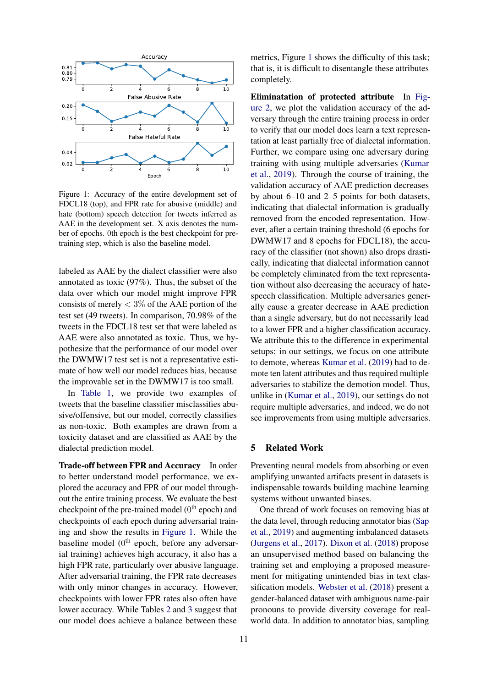<span id="page-4-0"></span>

Figure 1: Accuracy of the entire development set of FDCL18 (top), and FPR rate for abusive (middle) and hate (bottom) speech detection for tweets inferred as AAE in the development set. X axis denotes the number of epochs. 0th epoch is the best checkpoint for pretraining step, which is also the baseline model.

labeled as AAE by the dialect classifier were also annotated as toxic (97%). Thus, the subset of the data over which our model might improve FPR consists of merely  $<$  3\% of the AAE portion of the test set (49 tweets). In comparison, 70.98% of the tweets in the FDCL18 test set that were labeled as AAE were also annotated as toxic. Thus, we hypothesize that the performance of our model over the DWMW17 test set is not a representative estimate of how well our model reduces bias, because the improvable set in the DWMW17 is too small.

In [Table 1,](#page-2-2) we provide two examples of tweets that the baseline classifier misclassifies abusive/offensive, but our model, correctly classifies as non-toxic. Both examples are drawn from a toxicity dataset and are classified as AAE by the dialectal prediction model.

Trade-off between FPR and Accuracy In order to better understand model performance, we explored the accuracy and FPR of our model throughout the entire training process. We evaluate the best checkpoint of the pre-trained model  $(0<sup>th</sup>$  epoch) and checkpoints of each epoch during adversarial training and show the results in [Figure 1.](#page-4-0) While the baseline model (0<sup>th</sup> epoch, before any adversarial training) achieves high accuracy, it also has a high FPR rate, particularly over abusive language. After adversarial training, the FPR rate decreases with only minor changes in accuracy. However, checkpoints with lower FPR rates also often have lower accuracy. While Tables [2](#page-3-1) and [3](#page-3-2) suggest that our model does achieve a balance between these

metrics, Figure [1](#page-4-0) shows the difficulty of this task; that is, it is difficult to disentangle these attributes completely.

Eliminatation of protected attribute In [Fig](#page-5-5)[ure 2,](#page-5-5) we plot the validation accuracy of the adversary through the entire training process in order to verify that our model does learn a text representation at least partially free of dialectal information. Further, we compare using one adversary during training with using multiple adversaries [\(Kumar](#page-6-11) [et al.,](#page-6-11) [2019\)](#page-6-11). Through the course of training, the validation accuracy of AAE prediction decreases by about 6–10 and 2–5 points for both datasets, indicating that dialectal information is gradually removed from the encoded representation. However, after a certain training threshold (6 epochs for DWMW17 and 8 epochs for FDCL18), the accuracy of the classifier (not shown) also drops drastically, indicating that dialectal information cannot be completely eliminated from the text representation without also decreasing the accuracy of hatespeech classification. Multiple adversaries generally cause a greater decrease in AAE prediction than a single adversary, but do not necessarily lead to a lower FPR and a higher classification accuracy. We attribute this to the difference in experimental setups: in our settings, we focus on one attribute to demote, whereas [Kumar et al.](#page-6-11) [\(2019\)](#page-6-11) had to demote ten latent attributes and thus required multiple adversaries to stabilize the demotion model. Thus, unlike in [\(Kumar et al.,](#page-6-11) [2019\)](#page-6-11), our settings do not require multiple adversaries, and indeed, we do not see improvements from using multiple adversaries.

# 5 Related Work

Preventing neural models from absorbing or even amplifying unwanted artifacts present in datasets is indispensable towards building machine learning systems without unwanted biases.

One thread of work focuses on removing bias at the data level, through reducing annotator bias [\(Sap](#page-6-7) [et al.,](#page-6-7) [2019\)](#page-6-7) and augmenting imbalanced datasets [\(Jurgens et al.,](#page-6-14) [2017\)](#page-6-14). [Dixon et al.](#page-5-6) [\(2018\)](#page-5-6) propose an unsupervised method based on balancing the training set and employing a proposed measurement for mitigating unintended bias in text classification models. [Webster et al.](#page-6-15) [\(2018\)](#page-6-15) present a gender-balanced dataset with ambiguous name-pair pronouns to provide diversity coverage for realworld data. In addition to annotator bias, sampling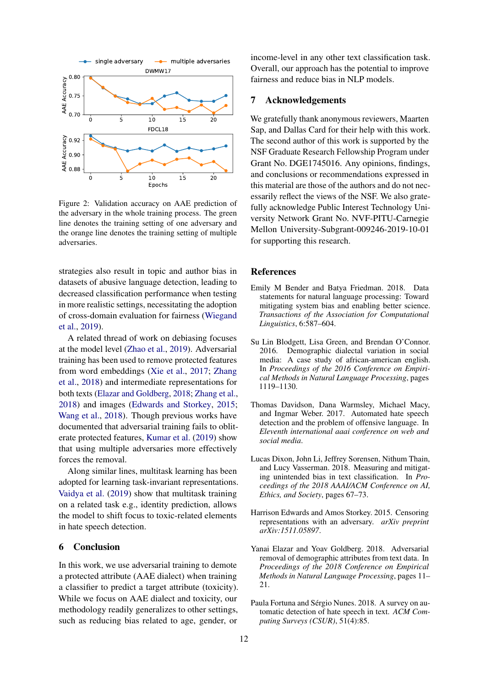<span id="page-5-5"></span>

Figure 2: Validation accuracy on AAE prediction of the adversary in the whole training process. The green line denotes the training setting of one adversary and the orange line denotes the training setting of multiple adversaries.

strategies also result in topic and author bias in datasets of abusive language detection, leading to decreased classification performance when testing in more realistic settings, necessitating the adoption of cross-domain evaluation for fairness [\(Wiegand](#page-6-16) [et al.,](#page-6-16) [2019\)](#page-6-16).

A related thread of work on debiasing focuses at the model level [\(Zhao et al.,](#page-6-17) [2019\)](#page-6-17). Adversarial training has been used to remove protected features from word embeddings [\(Xie et al.,](#page-6-18) [2017;](#page-6-18) [Zhang](#page-6-19) [et al.,](#page-6-19) [2018\)](#page-6-19) and intermediate representations for both texts [\(Elazar and Goldberg,](#page-5-4) [2018;](#page-5-4) [Zhang et al.,](#page-6-19) [2018\)](#page-6-19) and images [\(Edwards and Storkey,](#page-5-7) [2015;](#page-5-7) [Wang et al.,](#page-6-20) [2018\)](#page-6-20). Though previous works have documented that adversarial training fails to obliterate protected features, [Kumar et al.](#page-6-11) [\(2019\)](#page-6-11) show that using multiple adversaries more effectively forces the removal.

Along similar lines, multitask learning has been adopted for learning task-invariant representations. [Vaidya et al.](#page-6-21) [\(2019\)](#page-6-21) show that multitask training on a related task e.g., identity prediction, allows the model to shift focus to toxic-related elements in hate speech detection.

#### 6 Conclusion

In this work, we use adversarial training to demote a protected attribute (AAE dialect) when training a classifier to predict a target attribute (toxicity). While we focus on AAE dialect and toxicity, our methodology readily generalizes to other settings, such as reducing bias related to age, gender, or

income-level in any other text classification task. Overall, our approach has the potential to improve fairness and reduce bias in NLP models.

# 7 Acknowledgements

We gratefully thank anonymous reviewers, Maarten Sap, and Dallas Card for their help with this work. The second author of this work is supported by the NSF Graduate Research Fellowship Program under Grant No. DGE1745016. Any opinions, findings, and conclusions or recommendations expressed in this material are those of the authors and do not necessarily reflect the views of the NSF. We also gratefully acknowledge Public Interest Technology University Network Grant No. NVF-PITU-Carnegie Mellon University-Subgrant-009246-2019-10-01 for supporting this research.

## References

- <span id="page-5-1"></span>Emily M Bender and Batya Friedman. 2018. Data statements for natural language processing: Toward mitigating system bias and enabling better science. *Transactions of the Association for Computational Linguistics*, 6:587–604.
- <span id="page-5-3"></span>Su Lin Blodgett, Lisa Green, and Brendan O'Connor. 2016. Demographic dialectal variation in social media: A case study of african-american english. In *Proceedings of the 2016 Conference on Empirical Methods in Natural Language Processing*, pages 1119–1130.
- <span id="page-5-2"></span>Thomas Davidson, Dana Warmsley, Michael Macy, and Ingmar Weber. 2017. Automated hate speech detection and the problem of offensive language. In *Eleventh international aaai conference on web and social media*.
- <span id="page-5-6"></span>Lucas Dixon, John Li, Jeffrey Sorensen, Nithum Thain, and Lucy Vasserman. 2018. Measuring and mitigating unintended bias in text classification. In *Proceedings of the 2018 AAAI/ACM Conference on AI, Ethics, and Society*, pages 67–73.
- <span id="page-5-7"></span>Harrison Edwards and Amos Storkey. 2015. Censoring representations with an adversary. *arXiv preprint arXiv:1511.05897*.
- <span id="page-5-4"></span>Yanai Elazar and Yoav Goldberg. 2018. Adversarial removal of demographic attributes from text data. In *Proceedings of the 2018 Conference on Empirical Methods in Natural Language Processing*, pages 11– 21.
- <span id="page-5-0"></span>Paula Fortuna and Sérgio Nunes. 2018. A survey on automatic detection of hate speech in text. *ACM Computing Surveys (CSUR)*, 51(4):85.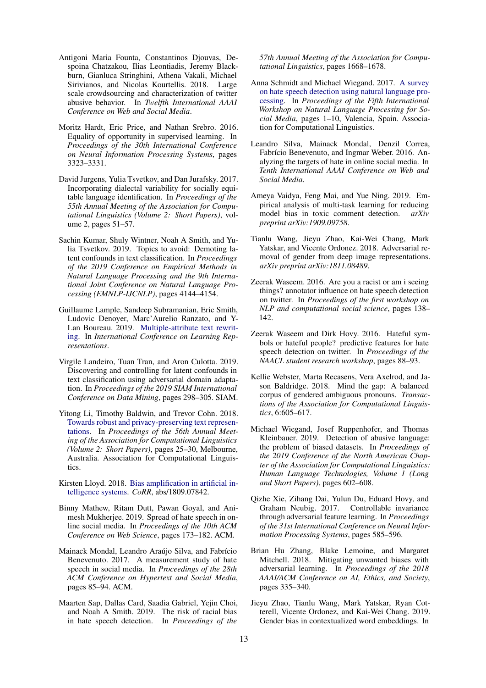- <span id="page-6-5"></span>Antigoni Maria Founta, Constantinos Djouvas, Despoina Chatzakou, Ilias Leontiadis, Jeremy Blackburn, Gianluca Stringhini, Athena Vakali, Michael Sirivianos, and Nicolas Kourtellis. 2018. Large scale crowdsourcing and characterization of twitter abusive behavior. In *Twelfth International AAAI Conference on Web and Social Media*.
- <span id="page-6-8"></span>Moritz Hardt, Eric Price, and Nathan Srebro. 2016. Equality of opportunity in supervised learning. In *Proceedings of the 30th International Conference on Neural Information Processing Systems*, pages 3323–3331.
- <span id="page-6-14"></span>David Jurgens, Yulia Tsvetkov, and Dan Jurafsky. 2017. Incorporating dialectal variability for socially equitable language identification. In *Proceedings of the 55th Annual Meeting of the Association for Computational Linguistics (Volume 2: Short Papers)*, volume 2, pages 51–57.
- <span id="page-6-11"></span>Sachin Kumar, Shuly Wintner, Noah A Smith, and Yulia Tsvetkov. 2019. Topics to avoid: Demoting latent confounds in text classification. In *Proceedings of the 2019 Conference on Empirical Methods in Natural Language Processing and the 9th International Joint Conference on Natural Language Processing (EMNLP-IJCNLP)*, pages 4144–4154.
- <span id="page-6-12"></span>Guillaume Lample, Sandeep Subramanian, Eric Smith, Ludovic Denoyer, Marc'Aurelio Ranzato, and Y-Lan Boureau. 2019. [Multiple-attribute text rewrit](https://openreview.net/forum?id=H1g2NhC5KQ)[ing.](https://openreview.net/forum?id=H1g2NhC5KQ) In *International Conference on Learning Representations*.
- <span id="page-6-13"></span>Virgile Landeiro, Tuan Tran, and Aron Culotta. 2019. Discovering and controlling for latent confounds in text classification using adversarial domain adaptation. In *Proceedings of the 2019 SIAM International Conference on Data Mining*, pages 298–305. SIAM.
- <span id="page-6-10"></span>Yitong Li, Timothy Baldwin, and Trevor Cohn. 2018. [Towards robust and privacy-preserving text represen](https://doi.org/10.18653/v1/P18-2005)[tations.](https://doi.org/10.18653/v1/P18-2005) In *Proceedings of the 56th Annual Meeting of the Association for Computational Linguistics (Volume 2: Short Papers)*, pages 25–30, Melbourne, Australia. Association for Computational Linguistics.
- <span id="page-6-9"></span>Kirsten Lloyd. 2018. [Bias amplification in artificial in](http://arxiv.org/abs/1809.07842)[telligence systems.](http://arxiv.org/abs/1809.07842) *CoRR*, abs/1809.07842.
- <span id="page-6-3"></span>Binny Mathew, Ritam Dutt, Pawan Goyal, and Animesh Mukherjee. 2019. Spread of hate speech in online social media. In *Proceedings of the 10th ACM Conference on Web Science*, pages 173–182. ACM.
- <span id="page-6-2"></span>Mainack Mondal, Leandro Araújo Silva, and Fabrício Benevenuto. 2017. A measurement study of hate speech in social media. In *Proceedings of the 28th ACM Conference on Hypertext and Social Media*, pages 85–94. ACM.
- <span id="page-6-7"></span>Maarten Sap, Dallas Card, Saadia Gabriel, Yejin Choi, and Noah A Smith. 2019. The risk of racial bias in hate speech detection. In *Proceedings of the*

*57th Annual Meeting of the Association for Computational Linguistics*, pages 1668–1678.

- <span id="page-6-0"></span>Anna Schmidt and Michael Wiegand. 2017. [A survey](https://doi.org/10.18653/v1/W17-1101) [on hate speech detection using natural language pro](https://doi.org/10.18653/v1/W17-1101)[cessing.](https://doi.org/10.18653/v1/W17-1101) In *Proceedings of the Fifth International Workshop on Natural Language Processing for Social Media*, pages 1–10, Valencia, Spain. Association for Computational Linguistics.
- <span id="page-6-1"></span>Leandro Silva, Mainack Mondal, Denzil Correa, Fabrício Benevenuto, and Ingmar Weber. 2016. Analyzing the targets of hate in online social media. In *Tenth International AAAI Conference on Web and Social Media*.
- <span id="page-6-21"></span>Ameya Vaidya, Feng Mai, and Yue Ning. 2019. Empirical analysis of multi-task learning for reducing model bias in toxic comment detection. *arXiv preprint arXiv:1909.09758*.
- <span id="page-6-20"></span>Tianlu Wang, Jieyu Zhao, Kai-Wei Chang, Mark Yatskar, and Vicente Ordonez. 2018. Adversarial removal of gender from deep image representations. *arXiv preprint arXiv:1811.08489*.
- <span id="page-6-6"></span>Zeerak Waseem. 2016. Are you a racist or am i seeing things? annotator influence on hate speech detection on twitter. In *Proceedings of the first workshop on NLP and computational social science*, pages 138– 142.
- <span id="page-6-4"></span>Zeerak Waseem and Dirk Hovy. 2016. Hateful symbols or hateful people? predictive features for hate speech detection on twitter. In *Proceedings of the NAACL student research workshop*, pages 88–93.
- <span id="page-6-15"></span>Kellie Webster, Marta Recasens, Vera Axelrod, and Jason Baldridge. 2018. Mind the gap: A balanced corpus of gendered ambiguous pronouns. *Transactions of the Association for Computational Linguistics*, 6:605–617.
- <span id="page-6-16"></span>Michael Wiegand, Josef Ruppenhofer, and Thomas Kleinbauer. 2019. Detection of abusive language: the problem of biased datasets. In *Proceedings of the 2019 Conference of the North American Chapter of the Association for Computational Linguistics: Human Language Technologies, Volume 1 (Long and Short Papers)*, pages 602–608.
- <span id="page-6-18"></span>Qizhe Xie, Zihang Dai, Yulun Du, Eduard Hovy, and Graham Neubig. 2017. Controllable invariance through adversarial feature learning. In *Proceedings of the 31st International Conference on Neural Information Processing Systems*, pages 585–596.
- <span id="page-6-19"></span>Brian Hu Zhang, Blake Lemoine, and Margaret Mitchell. 2018. Mitigating unwanted biases with adversarial learning. In *Proceedings of the 2018 AAAI/ACM Conference on AI, Ethics, and Society*, pages 335–340.
- <span id="page-6-17"></span>Jieyu Zhao, Tianlu Wang, Mark Yatskar, Ryan Cotterell, Vicente Ordonez, and Kai-Wei Chang. 2019. Gender bias in contextualized word embeddings. In